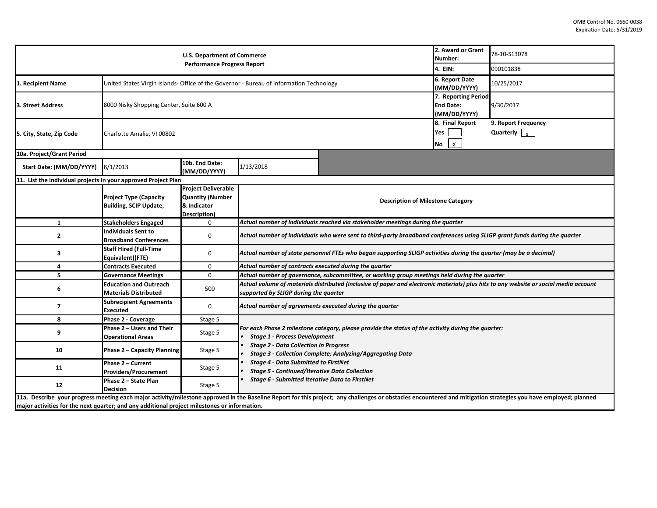| <b>U.S. Department of Commerce</b><br><b>Performance Progress Report</b> |                                                                                         |                                                                                      |                                                                                                                                                                                                                                                                |                                                         |                                              | 78-10-S13078<br>090101838                   |  |  |
|--------------------------------------------------------------------------|-----------------------------------------------------------------------------------------|--------------------------------------------------------------------------------------|----------------------------------------------------------------------------------------------------------------------------------------------------------------------------------------------------------------------------------------------------------------|---------------------------------------------------------|----------------------------------------------|---------------------------------------------|--|--|
| 1. Recipient Name                                                        | United States Virgin Islands- Office of the Governor - Bureau of Information Technology |                                                                                      | 6. Report Date<br>(MM/DD/YYYY)                                                                                                                                                                                                                                 | 10/25/2017                                              |                                              |                                             |  |  |
| 3. Street Address                                                        | 8000 Nisky Shopping Center, Suite 600 A                                                 |                                                                                      |                                                                                                                                                                                                                                                                | 7. Reporting Period<br><b>End Date:</b><br>(MM/DD/YYYY) | 9/30/2017                                    |                                             |  |  |
| 5. City, State, Zip Code                                                 | Charlotte Amalie, VI 00802                                                              |                                                                                      |                                                                                                                                                                                                                                                                |                                                         | 8. Final Report<br>Yes<br>$\mathsf{x}$<br>No | 9. Report Frequency<br>Quarterly $\sqrt{x}$ |  |  |
| 10a. Project/Grant Period                                                |                                                                                         |                                                                                      |                                                                                                                                                                                                                                                                |                                                         |                                              |                                             |  |  |
| Start Date: (MM/DD/YYYY)                                                 | 8/1/2013                                                                                | 10b. End Date:<br>(MM/DD/YYYY)                                                       | 1/13/2018                                                                                                                                                                                                                                                      |                                                         |                                              |                                             |  |  |
| 11. List the individual projects in your approved Project Plan           |                                                                                         |                                                                                      |                                                                                                                                                                                                                                                                |                                                         |                                              |                                             |  |  |
|                                                                          | <b>Project Type (Capacity</b><br><b>Building, SCIP Update,</b>                          | <b>Project Deliverable</b><br><b>Quantity (Number</b><br>& Indicator<br>Description) | <b>Description of Milestone Category</b>                                                                                                                                                                                                                       |                                                         |                                              |                                             |  |  |
| $\mathbf{1}$                                                             | <b>Stakeholders Engaged</b>                                                             | $\mathbf 0$                                                                          | Actual number of individuals reached via stakeholder meetings during the quarter                                                                                                                                                                               |                                                         |                                              |                                             |  |  |
| $\overline{2}$                                                           | <b>Individuals Sent to</b><br><b>Broadband Conferences</b>                              | $\mathbf 0$                                                                          | Actual number of individuals who were sent to third-party broadband conferences using SLIGP grant funds during the quarter                                                                                                                                     |                                                         |                                              |                                             |  |  |
| 3                                                                        | <b>Staff Hired (Full-Time</b><br>Equivalent)(FTE)                                       | 0                                                                                    | Actual number of state personnel FTEs who began supporting SLIGP activities during the quarter (may be a decimal)                                                                                                                                              |                                                         |                                              |                                             |  |  |
| 4                                                                        | <b>Contracts Executed</b>                                                               | $\mathbf 0$                                                                          | Actual number of contracts executed during the quarter                                                                                                                                                                                                         |                                                         |                                              |                                             |  |  |
| -5                                                                       | <b>Governance Meetings</b>                                                              | $\mathbf 0$                                                                          | Actual number of governance, subcommittee, or working group meetings held during the quarter                                                                                                                                                                   |                                                         |                                              |                                             |  |  |
| 6                                                                        | <b>Education and Outreach</b><br><b>Materials Distributed</b>                           | 500                                                                                  | Actual volume of materials distributed (inclusive of paper and electronic materials) plus hits to any website or social media account<br>supported by SLIGP during the quarter                                                                                 |                                                         |                                              |                                             |  |  |
| $\overline{7}$                                                           | <b>Subrecipient Agreements</b><br><b>Executed</b>                                       | $\mathbf 0$                                                                          | Actual number of agreements executed during the quarter                                                                                                                                                                                                        |                                                         |                                              |                                             |  |  |
| 8                                                                        | Phase 2 - Coverage                                                                      | Stage 5                                                                              |                                                                                                                                                                                                                                                                |                                                         |                                              |                                             |  |  |
| 9                                                                        | Phase 2 - Users and Their<br><b>Operational Areas</b>                                   | Stage 5                                                                              | For each Phase 2 milestone category, please provide the status of the activity during the quarter:<br><b>Stage 1 - Process Development</b><br><b>Stage 2 - Data Collection in Progress</b><br><b>Stage 3 - Collection Complete; Analyzing/Aggregating Data</b> |                                                         |                                              |                                             |  |  |
| 10                                                                       | <b>Phase 2 - Capacity Planning</b>                                                      | Stage 5                                                                              |                                                                                                                                                                                                                                                                |                                                         |                                              |                                             |  |  |
| 11                                                                       | Phase 2 - Current<br><b>Providers/Procurement</b>                                       | Stage 5                                                                              | <b>Stage 4 - Data Submitted to FirstNet</b><br><b>Stage 5 - Continued/Iterative Data Collection</b>                                                                                                                                                            |                                                         |                                              |                                             |  |  |
|                                                                          | Phase 2 - State Plan                                                                    | Stage 5                                                                              | Stage 6 - Submitted Iterative Data to FirstNet                                                                                                                                                                                                                 |                                                         |                                              |                                             |  |  |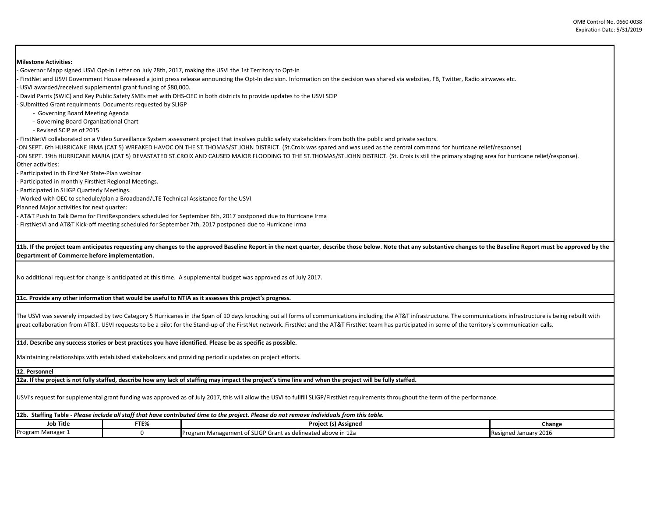| <b>Milestone Activities:</b>                                                                                                                                                                                                                               |      |                                                                                                                                                                                                                                                                                                                                                                                                                                     |        |  |  |  |  |  |  |
|------------------------------------------------------------------------------------------------------------------------------------------------------------------------------------------------------------------------------------------------------------|------|-------------------------------------------------------------------------------------------------------------------------------------------------------------------------------------------------------------------------------------------------------------------------------------------------------------------------------------------------------------------------------------------------------------------------------------|--------|--|--|--|--|--|--|
|                                                                                                                                                                                                                                                            |      | Governor Mapp signed USVI Opt-In Letter on July 28th, 2017, making the USVI the 1st Territory to Opt-In -                                                                                                                                                                                                                                                                                                                           |        |  |  |  |  |  |  |
| FirstNet and USVI Government House released a joint press release announcing the Opt-In decision. Information on the decision was shared via websites, FB, Twitter, Radio airwaves etc.<br>- USVI awarded/received supplemental grant funding of \$80,000. |      |                                                                                                                                                                                                                                                                                                                                                                                                                                     |        |  |  |  |  |  |  |
| David Parris (SWIC) and Key Public Safety SMEs met with DHS-OEC in both districts to provide updates to the USVI SCIP                                                                                                                                      |      |                                                                                                                                                                                                                                                                                                                                                                                                                                     |        |  |  |  |  |  |  |
|                                                                                                                                                                                                                                                            |      |                                                                                                                                                                                                                                                                                                                                                                                                                                     |        |  |  |  |  |  |  |
| - SUbmitted Grant requirments Documents requested by SLIGP                                                                                                                                                                                                 |      |                                                                                                                                                                                                                                                                                                                                                                                                                                     |        |  |  |  |  |  |  |
| - Governing Board Meeting Agenda                                                                                                                                                                                                                           |      |                                                                                                                                                                                                                                                                                                                                                                                                                                     |        |  |  |  |  |  |  |
| - Governing Board Organizational Chart                                                                                                                                                                                                                     |      |                                                                                                                                                                                                                                                                                                                                                                                                                                     |        |  |  |  |  |  |  |
| - Revised SCIP as of 2015                                                                                                                                                                                                                                  |      |                                                                                                                                                                                                                                                                                                                                                                                                                                     |        |  |  |  |  |  |  |
|                                                                                                                                                                                                                                                            |      | - FirstNetVI collaborated on a Video Surveillance System assessment project that involves public safety stakeholders from both the public and private sectors.                                                                                                                                                                                                                                                                      |        |  |  |  |  |  |  |
|                                                                                                                                                                                                                                                            |      | -ON SEPT. 6th HURRICANE IRMA (CAT 5) WREAKED HAVOC ON THE ST.THOMAS/ST.JOHN DISTRICT. (St.Croix was spared and was used as the central command for hurricane relief/response)                                                                                                                                                                                                                                                       |        |  |  |  |  |  |  |
| Other activities:                                                                                                                                                                                                                                          |      | -ON SEPT. 19th HURRICANE MARIA (CAT 5) DEVASTATED ST.CROIX AND CAUSED MAJOR FLOODING TO THE ST.THOMAS/ST.JOHN DISTRICT. (St. Croix is still the primary staging area for hurricane relief/response).                                                                                                                                                                                                                                |        |  |  |  |  |  |  |
| Participated in th FirstNet State-Plan webinar                                                                                                                                                                                                             |      |                                                                                                                                                                                                                                                                                                                                                                                                                                     |        |  |  |  |  |  |  |
| Participated in monthly FirstNet Regional Meetings.                                                                                                                                                                                                        |      |                                                                                                                                                                                                                                                                                                                                                                                                                                     |        |  |  |  |  |  |  |
| Participated in SLIGP Quarterly Meetings.                                                                                                                                                                                                                  |      |                                                                                                                                                                                                                                                                                                                                                                                                                                     |        |  |  |  |  |  |  |
| - Worked with OEC to schedule/plan a Broadband/LTE Technical Assistance for the USVI                                                                                                                                                                       |      |                                                                                                                                                                                                                                                                                                                                                                                                                                     |        |  |  |  |  |  |  |
| Planned Major activities for next quarter:                                                                                                                                                                                                                 |      |                                                                                                                                                                                                                                                                                                                                                                                                                                     |        |  |  |  |  |  |  |
|                                                                                                                                                                                                                                                            |      | - AT&T Push to Talk Demo for FirstResponders scheduled for September 6th, 2017 postponed due to Hurricane Irma                                                                                                                                                                                                                                                                                                                      |        |  |  |  |  |  |  |
|                                                                                                                                                                                                                                                            |      | - FirstNetVI and AT&T Kick-off meeting scheduled for September 7th, 2017 postponed due to Hurricane Irma                                                                                                                                                                                                                                                                                                                            |        |  |  |  |  |  |  |
| Department of Commerce before implementation.                                                                                                                                                                                                              |      | 11b. If the project team anticipates requesting any changes to the approved Baseline Report in the next quarter, describe those below. Note that any substantive changes to the Baseline Report must be approved by the                                                                                                                                                                                                             |        |  |  |  |  |  |  |
|                                                                                                                                                                                                                                                            |      | No additional request for change is anticipated at this time. A supplemental budget was approved as of July 2017.                                                                                                                                                                                                                                                                                                                   |        |  |  |  |  |  |  |
|                                                                                                                                                                                                                                                            |      | 11c. Provide any other information that would be useful to NTIA as it assesses this project's progress.                                                                                                                                                                                                                                                                                                                             |        |  |  |  |  |  |  |
|                                                                                                                                                                                                                                                            |      |                                                                                                                                                                                                                                                                                                                                                                                                                                     |        |  |  |  |  |  |  |
|                                                                                                                                                                                                                                                            |      | The USVI was severely impacted by two Category 5 Hurricanes in the Span of 10 days knocking out all forms of communications including the AT&T infrastructure. The communications infrastructure is being rebuilt with<br>great collaboration from AT&T. USVI requests to be a pilot for the Stand-up of the FirstNet network. FirstNet and the AT&T FirstNet team has participated in some of the territory's communication calls. |        |  |  |  |  |  |  |
|                                                                                                                                                                                                                                                            |      | 11d. Describe any success stories or best practices you have identified. Please be as specific as possible.                                                                                                                                                                                                                                                                                                                         |        |  |  |  |  |  |  |
|                                                                                                                                                                                                                                                            |      | Maintaining relationships with established stakeholders and providing periodic updates on project efforts.                                                                                                                                                                                                                                                                                                                          |        |  |  |  |  |  |  |
| 12. Personnel                                                                                                                                                                                                                                              |      |                                                                                                                                                                                                                                                                                                                                                                                                                                     |        |  |  |  |  |  |  |
|                                                                                                                                                                                                                                                            |      |                                                                                                                                                                                                                                                                                                                                                                                                                                     |        |  |  |  |  |  |  |
|                                                                                                                                                                                                                                                            |      | 12a. If the project is not fully staffed, describe how any lack of staffing may impact the project's time line and when the project will be fully staffed.                                                                                                                                                                                                                                                                          |        |  |  |  |  |  |  |
|                                                                                                                                                                                                                                                            |      | USVI's request for supplemental grant funding was approved as of July 2017, this will allow the USVI to fullfill SLIGP/FirstNet requirements throughout the term of the performance.                                                                                                                                                                                                                                                |        |  |  |  |  |  |  |
|                                                                                                                                                                                                                                                            |      | 12b. Staffing Table - Please include all staff that have contributed time to the project. Please do not remove individuals from this table.                                                                                                                                                                                                                                                                                         |        |  |  |  |  |  |  |
| <b>Job Title</b>                                                                                                                                                                                                                                           | FTE% | Project (s) Assigned                                                                                                                                                                                                                                                                                                                                                                                                                | Change |  |  |  |  |  |  |